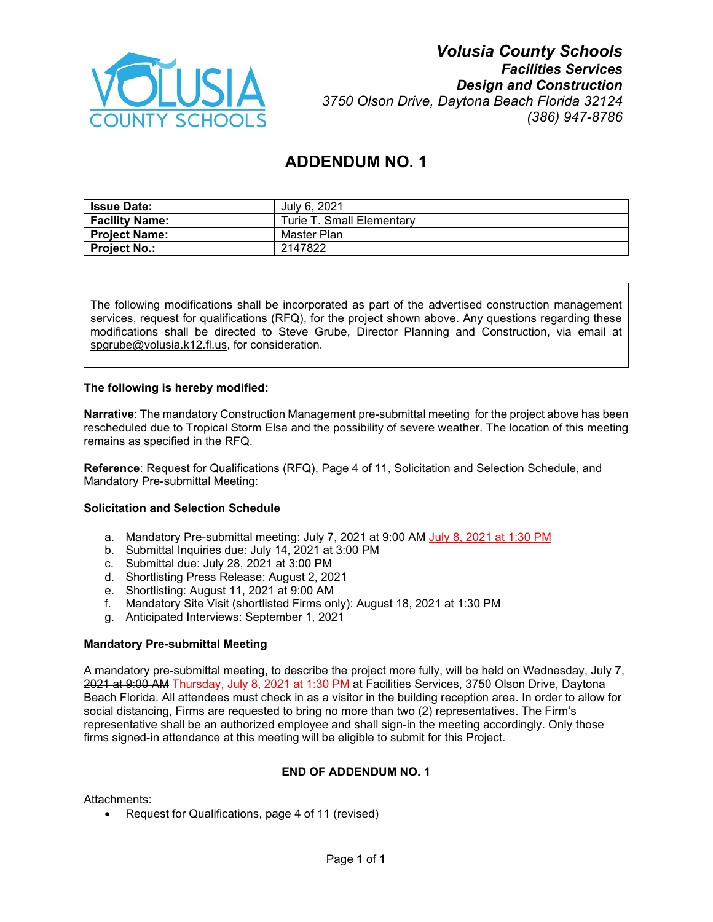

# *Volusia County Schools Facilities Services Design and Construction 3750 Olson Drive, Daytona Beach Florida 32124 (386) 947-8786*

# **ADDENDUM NO. 1**

| <b>Issue Date:</b>    | July 6, 2021              |
|-----------------------|---------------------------|
| <b>Facility Name:</b> | Turie T. Small Elementary |
| <b>Project Name:</b>  | Master Plan               |
| <b>Project No.:</b>   | 2147822                   |

The following modifications shall be incorporated as part of the advertised construction management services, request for qualifications (RFQ), for the project shown above. Any questions regarding these modifications shall be directed to Steve Grube, Director Planning and Construction, via email at [spgrube@volusia.k12.fl.us,](mailto:spgrube@volusia.k12.fl.us) for consideration.

#### **The following is hereby modified:**

**Narrative**: The mandatory Construction Management pre-submittal meeting for the project above has been rescheduled due to Tropical Storm Elsa and the possibility of severe weather. The location of this meeting remains as specified in the RFQ.

**Reference**: Request for Qualifications (RFQ), Page 4 of 11, Solicitation and Selection Schedule, and Mandatory Pre-submittal Meeting:

#### **Solicitation and Selection Schedule**

- a. Mandatory Pre-submittal meeting: July 7, 2021 at 9:00 AM July 8, 2021 at 1:30 PM
- b. Submittal Inquiries due: July 14, 2021 at 3:00 PM
- c. Submittal due: July 28, 2021 at 3:00 PM
- d. Shortlisting Press Release: August 2, 2021
- e. Shortlisting: August 11, 2021 at 9:00 AM
- f. Mandatory Site Visit (shortlisted Firms only): August 18, 2021 at 1:30 PM
- g. Anticipated Interviews: September 1, 2021

#### **Mandatory Pre-submittal Meeting**

A mandatory pre-submittal meeting, to describe the project more fully, will be held on Wednesday, July 7, 2021 at 9:00 AM Thursday, July 8, 2021 at 1:30 PM at Facilities Services, 3750 Olson Drive, Daytona Beach Florida. All attendees must check in as a visitor in the building reception area. In order to allow for social distancing, Firms are requested to bring no more than two (2) representatives. The Firm's representative shall be an authorized employee and shall sign-in the meeting accordingly. Only those firms signed-in attendance at this meeting will be eligible to submit for this Project.

# **END OF ADDENDUM NO. 1**

Attachments:

• Request for Qualifications, page 4 of 11 (revised)